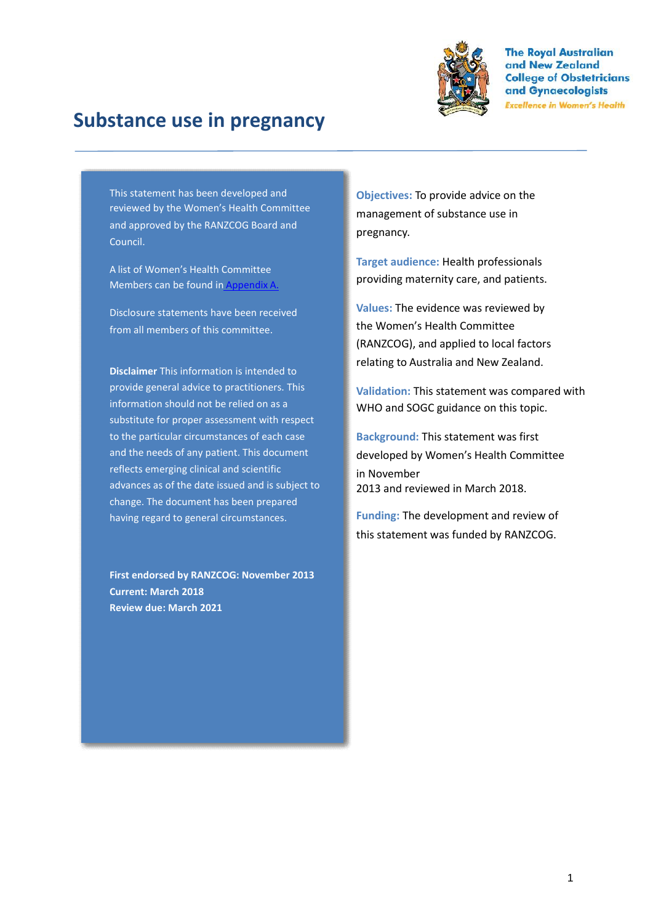

# **Substance use in pregnancy**

This statement has been developed and reviewed by the Women's Health Committee and approved by the RANZCOG Board and Council.

A list of Women's Health Committee Members can be found in Appendix A.

Disclosure statements have been received from all members of this committee.

**Disclaimer** This information is intended to provide general advice to practitioners. This information should not be relied on as a substitute for proper assessment with respect to the particular circumstances of each case and the needs of any patient. This document reflects emerging clinical and scientific advances as of the date issued and is subject to change. The document has been prepared having regard to general circumstances.

**First endorsed by RANZCOG: November 2013 Current: March 2018 Review due: March 2021**

**Objectives:** To provide advice on the management of substance use in pregnancy.

**Target audience:** Health professionals providing maternity care, and patients.

**Values:** The evidence was reviewed by the Women's Health Committee (RANZCOG), and applied to local factors relating to Australia and New Zealand.

**Validation:** This statement was compared with WHO and SOGC guidance on this topic.

**Background:** This statement was first developed by Women's Health Committee in November 2013 and reviewed in March 2018.

**Funding:** The development and review of this statement was funded by RANZCOG.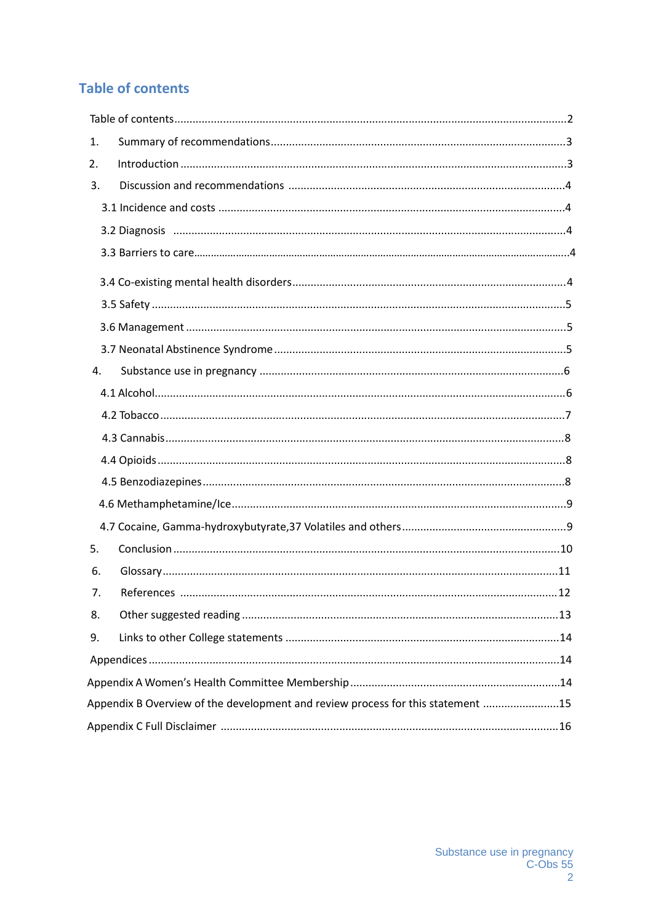## **Table of contents**

| 1. |                                                                                 |  |
|----|---------------------------------------------------------------------------------|--|
| 2. |                                                                                 |  |
| 3. |                                                                                 |  |
|    |                                                                                 |  |
|    |                                                                                 |  |
|    |                                                                                 |  |
|    |                                                                                 |  |
|    |                                                                                 |  |
|    |                                                                                 |  |
|    |                                                                                 |  |
| 4. |                                                                                 |  |
|    |                                                                                 |  |
|    |                                                                                 |  |
|    |                                                                                 |  |
|    |                                                                                 |  |
|    |                                                                                 |  |
|    |                                                                                 |  |
|    |                                                                                 |  |
| 5. |                                                                                 |  |
| 6. |                                                                                 |  |
| 7. |                                                                                 |  |
| 8. |                                                                                 |  |
| 9. |                                                                                 |  |
|    |                                                                                 |  |
|    |                                                                                 |  |
|    | Appendix B Overview of the development and review process for this statement 15 |  |
|    |                                                                                 |  |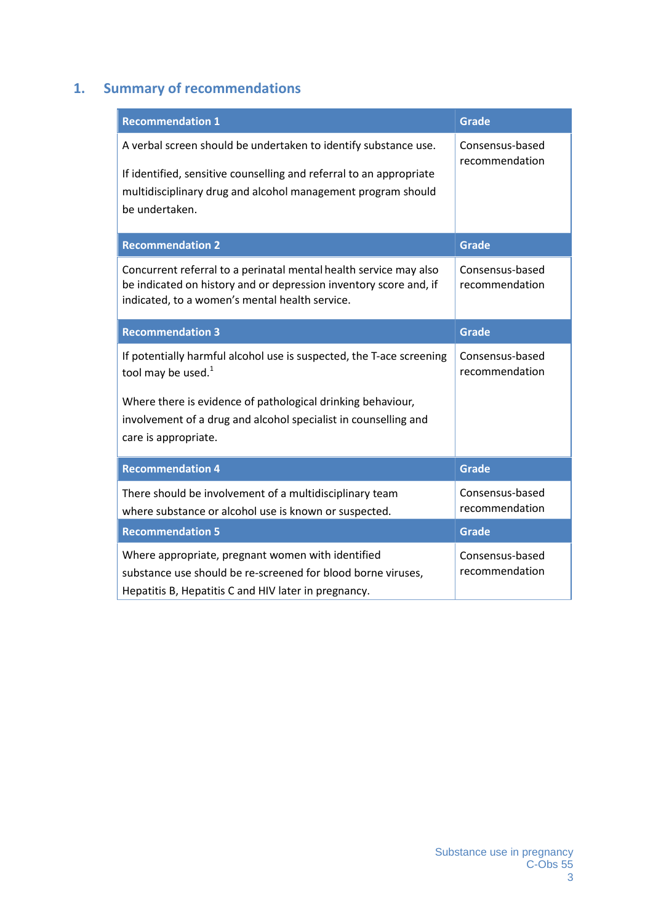## **1. Summary of recommendations**

| <b>Recommendation 1</b>                                                                                                                                                                                                                                          | <b>Grade</b>                      |  |  |  |  |
|------------------------------------------------------------------------------------------------------------------------------------------------------------------------------------------------------------------------------------------------------------------|-----------------------------------|--|--|--|--|
| A verbal screen should be undertaken to identify substance use.<br>If identified, sensitive counselling and referral to an appropriate<br>multidisciplinary drug and alcohol management program should<br>be undertaken.                                         | Consensus-based<br>recommendation |  |  |  |  |
| <b>Recommendation 2</b>                                                                                                                                                                                                                                          | <b>Grade</b>                      |  |  |  |  |
| Concurrent referral to a perinatal mental health service may also<br>be indicated on history and or depression inventory score and, if<br>indicated, to a women's mental health service.                                                                         | Consensus-based<br>recommendation |  |  |  |  |
| <b>Recommendation 3</b>                                                                                                                                                                                                                                          | <b>Grade</b>                      |  |  |  |  |
| If potentially harmful alcohol use is suspected, the T-ace screening<br>tool may be used. <sup>1</sup><br>Where there is evidence of pathological drinking behaviour,<br>involvement of a drug and alcohol specialist in counselling and<br>care is appropriate. | Consensus-based<br>recommendation |  |  |  |  |
| <b>Recommendation 4</b>                                                                                                                                                                                                                                          | <b>Grade</b>                      |  |  |  |  |
| There should be involvement of a multidisciplinary team<br>where substance or alcohol use is known or suspected.                                                                                                                                                 | Consensus-based<br>recommendation |  |  |  |  |
| <b>Recommendation 5</b>                                                                                                                                                                                                                                          | <b>Grade</b>                      |  |  |  |  |
| Where appropriate, pregnant women with identified<br>substance use should be re-screened for blood borne viruses,<br>Hepatitis B, Hepatitis C and HIV later in pregnancy.                                                                                        | Consensus-based<br>recommendation |  |  |  |  |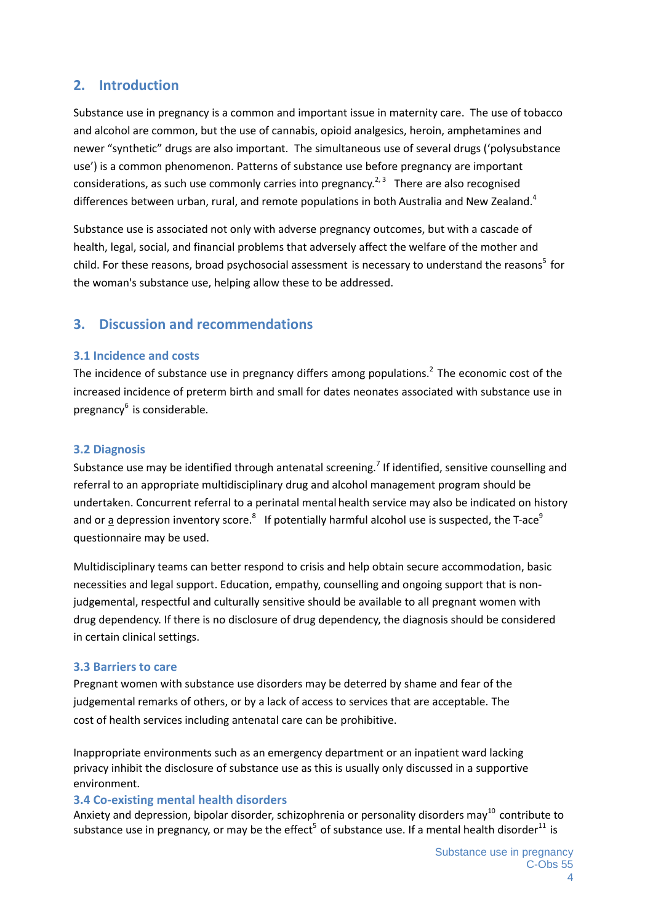## **2. Introduction**

Substance use in pregnancy is a common and important issue in maternity care. The use of tobacco and alcohol are common, but the use of cannabis, opioid analgesics, heroin, amphetamines and newer "synthetic" drugs are also important. The simultaneous use of several drugs ('polysubstance use') is a common phenomenon. Patterns of substance use before pregnancy are important considerations, as such use commonly carries into pregnancy.<sup>2, 3</sup> There are also recognised differences between urban, rural, and remote populations in both Australia and New Zealand.<sup>4</sup>

Substance use is associated not only with adverse pregnancy outcomes, but with a cascade of health, legal, social, and financial problems that adversely affect the welfare of the mother and child. For these reasons, broad psychosocial assessment is necessary to understand the reasons<sup>5</sup> for the woman's substance use, helping allow these to be addressed.

## **3. Discussion and recommendations**

#### **3.1 Incidence and costs**

The incidence of substance use in pregnancy differs among populations.<sup>2</sup> The economic cost of the increased incidence of preterm birth and small for dates neonates associated with substance use in pregnancy<sup>6</sup> is considerable.

#### **3.2 Diagnosis**

Substance use may be identified through antenatal screening.<sup>7</sup> If identified, sensitive counselling and referral to an appropriate multidisciplinary drug and alcohol management program should be undertaken. Concurrent referral to a perinatal mental health service may also be indicated on history and or <u>a</u> depression inventory score.<sup>8</sup> If potentially harmful alcohol use is suspected, the T-ace<sup>9</sup> questionnaire may be used.

Multidisciplinary teams can better respond to crisis and help obtain secure accommodation, basic necessities and legal support. Education, empathy, counselling and ongoing support that is nonjudgemental, respectful and culturally sensitive should be available to all pregnant women with drug dependency. If there is no disclosure of drug dependency, the diagnosis should be considered in certain clinical settings.

#### **3.3 Barriers to care**

Pregnant women with substance use disorders may be deterred by shame and fear of the judgemental remarks of others, or by a lack of access to services that are acceptable. The cost of health services including antenatal care can be prohibitive.

Inappropriate environments such as an emergency department or an inpatient ward lacking privacy inhibit the disclosure of substance use as this is usually only discussed in a supportive environment.

#### **3.4 Co-existing mental health disorders**

Anxiety and depression, bipolar disorder, schizophrenia or personality disorders may<sup>10</sup> contribute to substance use in pregnancy, or may be the effect<sup>5</sup> of substance use. If a mental health disorder<sup>11</sup> is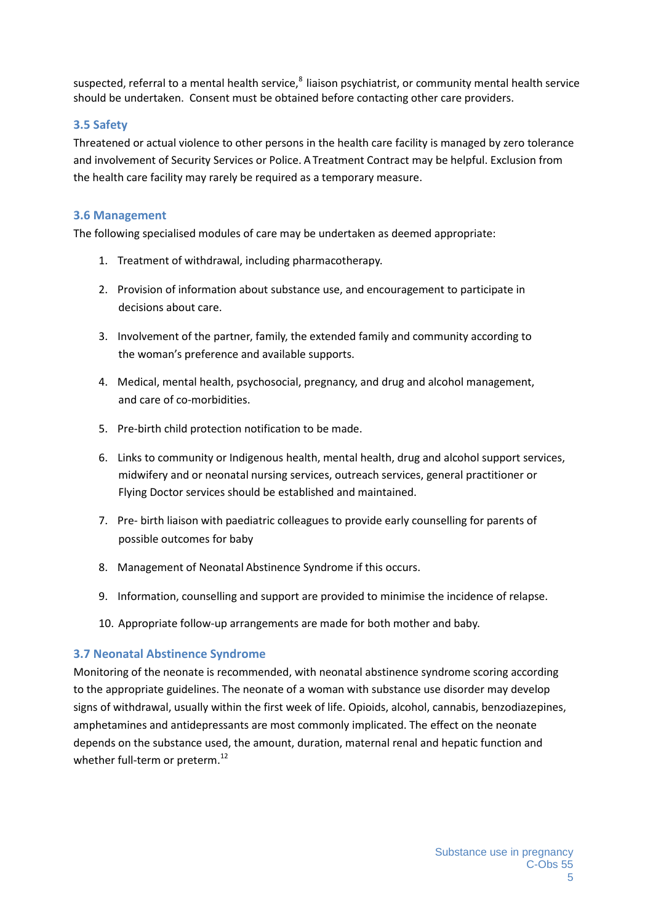suspected, referral to a mental health service, $^8$  liaison psychiatrist, or community mental health service should be undertaken. Consent must be obtained before contacting other care providers.

#### **3.5 Safety**

Threatened or actual violence to other persons in the health care facility is managed by zero tolerance and involvement of Security Services or Police. A Treatment Contract may be helpful. Exclusion from the health care facility may rarely be required as a temporary measure.

#### **3.6 Management**

The following specialised modules of care may be undertaken as deemed appropriate:

- 1. Treatment of withdrawal, including pharmacotherapy.
- 2. Provision of information about substance use, and encouragement to participate in decisions about care.
- 3. Involvement of the partner, family, the extended family and community according to the woman's preference and available supports.
- 4. Medical, mental health, psychosocial, pregnancy, and drug and alcohol management, and care of co-morbidities.
- 5. Pre-birth child protection notification to be made.
- 6. Links to community or Indigenous health, mental health, drug and alcohol support services, midwifery and or neonatal nursing services, outreach services, general practitioner or Flying Doctor services should be established and maintained.
- 7. Pre- birth liaison with paediatric colleagues to provide early counselling for parents of possible outcomes for baby
- 8. Management of Neonatal Abstinence Syndrome if this occurs.
- 9. Information, counselling and support are provided to minimise the incidence of relapse.
- 10. Appropriate follow-up arrangements are made for both mother and baby.

#### **3.7 Neonatal Abstinence Syndrome**

Monitoring of the neonate is recommended, with neonatal abstinence syndrome scoring according to the appropriate guidelines. The neonate of a woman with substance use disorder may develop signs of withdrawal, usually within the first week of life. Opioids, alcohol, cannabis, benzodiazepines, amphetamines and antidepressants are most commonly implicated. The effect on the neonate depends on the substance used, the amount, duration, maternal renal and hepatic function and whether full-term or preterm.<sup>12</sup>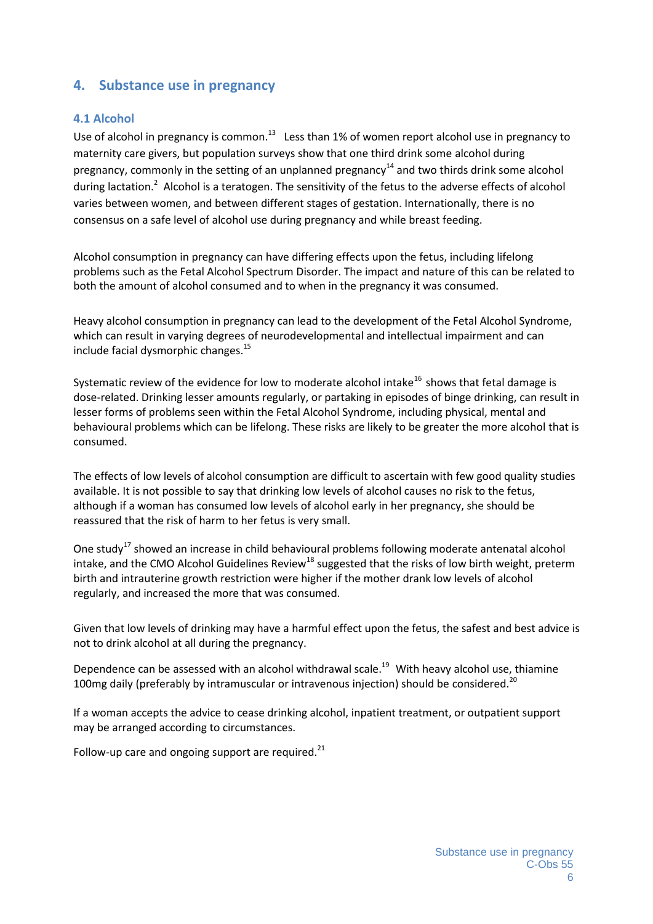### **4. Substance use in pregnancy**

#### **4.1 Alcohol**

Use of alcohol in pregnancy is common.<sup>13</sup> Less than 1% of women report alcohol use in pregnancy to maternity care givers, but population surveys show that one third drink some alcohol during pregnancy, commonly in the setting of an unplanned pregnancy $^{14}$  and two thirds drink some alcohol during lactation.<sup>2</sup> Alcohol is a teratogen. The sensitivity of the fetus to the adverse effects of alcohol varies between women, and between different stages of gestation. Internationally, there is no consensus on a safe level of alcohol use during pregnancy and while breast feeding.

Alcohol consumption in pregnancy can have differing effects upon the fetus, including lifelong problems such as the Fetal Alcohol Spectrum Disorder. The impact and nature of this can be related to both the amount of alcohol consumed and to when in the pregnancy it was consumed.

Heavy alcohol consumption in pregnancy can lead to the development of the Fetal Alcohol Syndrome, which can result in varying degrees of neurodevelopmental and intellectual impairment and can include facial dysmorphic changes.<sup>15</sup>

Systematic review of the evidence for low to moderate alcohol intake<sup>16</sup> shows that fetal damage is dose-related. Drinking lesser amounts regularly, or partaking in episodes of binge drinking, can result in lesser forms of problems seen within the Fetal Alcohol Syndrome, including physical, mental and behavioural problems which can be lifelong. These risks are likely to be greater the more alcohol that is consumed.

The effects of low levels of alcohol consumption are difficult to ascertain with few good quality studies available. It is not possible to say that drinking low levels of alcohol causes no risk to the fetus, although if a woman has consumed low levels of alcohol early in her pregnancy, she should be reassured that the risk of harm to her fetus is very small.

One study<sup>17</sup> showed an increase in child behavioural problems following moderate antenatal alcohol intake, and the CMO Alcohol Guidelines Review<sup>18</sup> suggested that the risks of low birth weight, preterm birth and intrauterine growth restriction were higher if the mother drank low levels of alcohol regularly, and increased the more that was consumed.

Given that low levels of drinking may have a harmful effect upon the fetus, the safest and best advice is not to drink alcohol at all during the pregnancy.

Dependence can be assessed with an alcohol withdrawal scale.<sup>19</sup> With heavy alcohol use, thiamine 100mg daily (preferably by intramuscular or intravenous injection) should be considered.<sup>20</sup>

If a woman accepts the advice to cease drinking alcohol, inpatient treatment, or outpatient support may be arranged according to circumstances.

Follow-up care and ongoing support are required. $^{21}$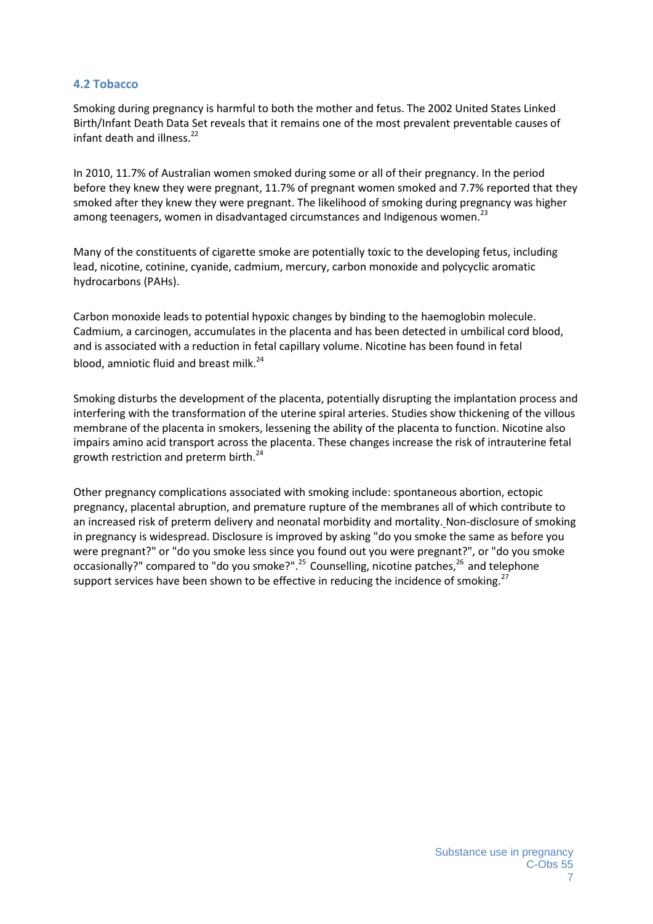#### **4.2 Tobacco**

Smoking during pregnancy is harmful to both the mother and fetus. The 2002 United States Linked Birth/Infant Death Data Set reveals that it remains one of the most prevalent preventable causes of infant death and illness.<sup>22</sup>

In 2010, 11.7% of Australian women smoked during some or all of their pregnancy. In the period before they knew they were pregnant, 11.7% of pregnant women smoked and 7.7% reported that they smoked after they knew they were pregnant. The likelihood of smoking during pregnancy was higher among teenagers, women in disadvantaged circumstances and Indigenous women.<sup>23</sup>

Many of the constituents of cigarette smoke are potentially toxic to the developing fetus, including lead, nicotine, cotinine, cyanide, cadmium, mercury, carbon monoxide and polycyclic aromatic hydrocarbons (PAHs).

Carbon monoxide leads to potential hypoxic changes by binding to the haemoglobin molecule. Cadmium, a carcinogen, accumulates in the placenta and has been detected in umbilical cord blood, and is associated with a reduction in fetal capillary volume. Nicotine has been found in fetal blood, amniotic fluid and breast milk.<sup>24</sup>

Smoking disturbs the development of the placenta, potentially disrupting the implantation process and interfering with the transformation of the uterine spiral arteries. Studies show thickening of the villous membrane of the placenta in smokers, lessening the ability of the placenta to function. Nicotine also impairs amino acid transport across the placenta. These changes increase the risk of intrauterine fetal growth restriction and preterm birth.<sup>24</sup>

Other pregnancy complications associated with smoking include: spontaneous abortion, ectopic pregnancy, placental abruption, and premature rupture of the membranes all of which contribute to an increased risk of preterm delivery and neonatal morbidity and mortality. Non-disclosure of smoking in pregnancy is widespread. Disclosure is improved by asking "do you smoke the same as before you were pregnant?" or "do you smoke less since you found out you were pregnant?", or "do you smoke occasionally?" compared to "do you smoke?".<sup>25</sup> Counselling, nicotine patches,<sup>26</sup> and telephone support services have been shown to be effective in reducing the incidence of smoking.<sup>27</sup>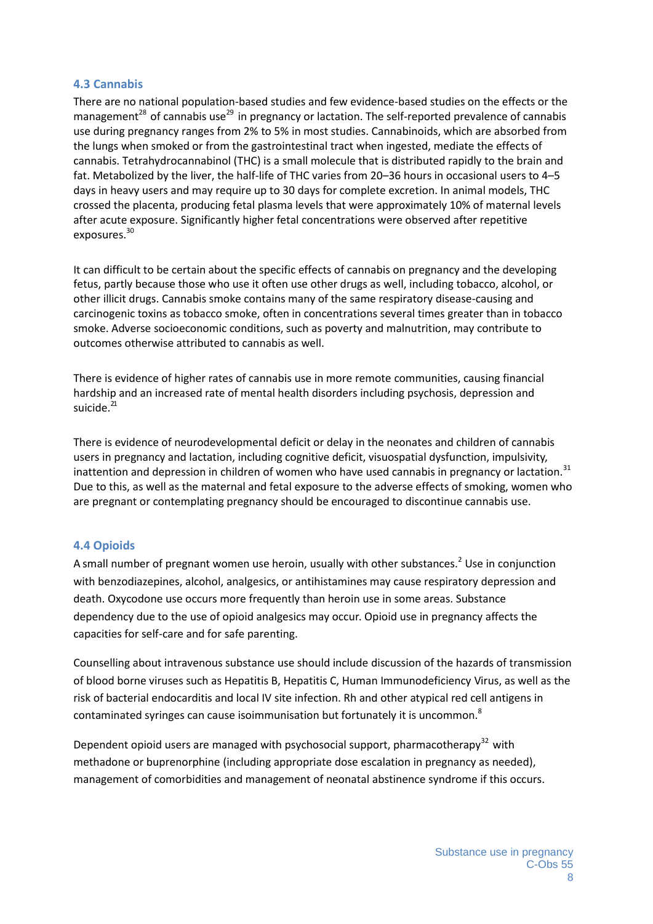#### **4.3 Cannabis**

There are no national population-based studies and few evidence-based studies on the effects or the management<sup>28</sup> of cannabis use<sup>29</sup> in pregnancy or lactation. The self-reported prevalence of cannabis use during pregnancy ranges from 2% to 5% in most studies. Cannabinoids, which are absorbed from the lungs when smoked or from the gastrointestinal tract when ingested, mediate the effects of cannabis. Tetrahydrocannabinol (THC) is a small molecule that is distributed rapidly to the brain and fat. Metabolized by the liver, the half-life of THC varies from 20–36 hours in occasional users to 4–5 days in heavy users and may require up to 30 days for complete excretion. In animal models, THC crossed the placenta, producing fetal plasma levels that were approximately 10% of maternal levels after acute exposure. Significantly higher fetal concentrations were observed after repetitive exposures.<sup>30</sup>

It can difficult to be certain about the specific effects of cannabis on pregnancy and the developing fetus, partly because those who use it often use other drugs as well, including tobacco, alcohol, or other illicit drugs. Cannabis smoke contains many of the same respiratory disease-causing and carcinogenic toxins as tobacco smoke, often in concentrations several times greater than in tobacco smoke. Adverse socioeconomic conditions, such as poverty and malnutrition, may contribute to outcomes otherwise attributed to cannabis as well.

There is evidence of higher rates of cannabis use in more remote communities, causing financial hardship and an increased rate of mental health disorders including psychosis, depression and suicide.<sup>21</sup>

There is evidence of neurodevelopmental deficit or delay in the neonates and children of cannabis users in pregnancy and lactation, including cognitive deficit, visuospatial dysfunction, impulsivity, inattention and depression in children of women who have used cannabis in pregnancy or lactation.<sup>31</sup> Due to this, as well as the maternal and fetal exposure to the adverse effects of smoking, women who are pregnant or contemplating pregnancy should be encouraged to discontinue cannabis use.

#### **4.4 Opioids**

A small number of pregnant women use heroin, usually with other substances.<sup>2</sup> Use in conjunction with benzodiazepines, alcohol, analgesics, or antihistamines may cause respiratory depression and death. Oxycodone use occurs more frequently than heroin use in some areas. Substance dependency due to the use of opioid analgesics may occur. Opioid use in pregnancy affects the capacities for self-care and for safe parenting.

Counselling about intravenous substance use should include discussion of the hazards of transmission of blood borne viruses such as Hepatitis B, Hepatitis C, Human Immunodeficiency Virus, as well as the risk of bacterial endocarditis and local IV site infection. Rh and other atypical red cell antigens in contaminated syringes can cause isoimmunisation but fortunately it is uncommon.<sup>8</sup>

Dependent opioid users are managed with psychosocial support, pharmacotherapy<sup>32</sup> with methadone or buprenorphine (including appropriate dose escalation in pregnancy as needed), management of comorbidities and management of neonatal abstinence syndrome if this occurs.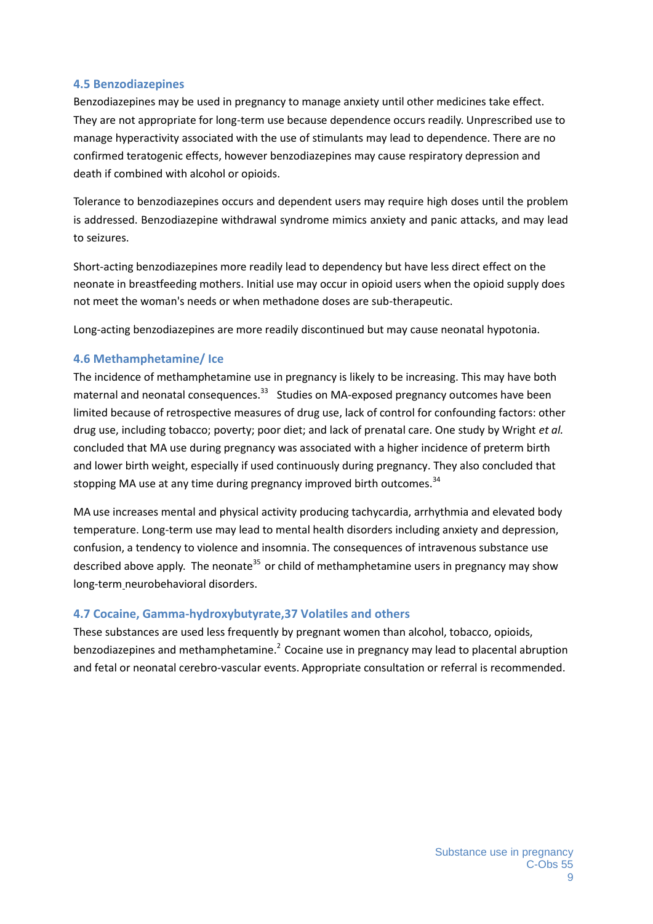#### **4.5 Benzodiazepines**

Benzodiazepines may be used in pregnancy to manage anxiety until other medicines take effect. They are not appropriate for long-term use because dependence occurs readily. Unprescribed use to manage hyperactivity associated with the use of stimulants may lead to dependence. There are no confirmed teratogenic effects, however benzodiazepines may cause respiratory depression and death if combined with alcohol or opioids.

Tolerance to benzodiazepines occurs and dependent users may require high doses until the problem is addressed. Benzodiazepine withdrawal syndrome mimics anxiety and panic attacks, and may lead to seizures.

Short-acting benzodiazepines more readily lead to dependency but have less direct effect on the neonate in breastfeeding mothers. Initial use may occur in opioid users when the opioid supply does not meet the woman's needs or when methadone doses are sub-therapeutic.

Long-acting benzodiazepines are more readily discontinued but may cause neonatal hypotonia.

#### **4.6 Methamphetamine/ Ice**

The incidence of methamphetamine use in pregnancy is likely to be increasing. This may have both maternal and neonatal consequences.<sup>33</sup> Studies on MA-exposed pregnancy outcomes have been limited because of retrospective measures of drug use, lack of control for confounding factors: other drug use, including tobacco; poverty; poor diet; and lack of prenatal care. One study by Wright *et al.* concluded that MA use during pregnancy was associated with a higher incidence of preterm birth and lower birth weight, especially if used continuously during pregnancy. They also concluded that stopping MA use at any time during pregnancy improved birth outcomes.<sup>34</sup>

MA use increases mental and physical activity producing tachycardia, arrhythmia and elevated body temperature. Long-term use may lead to mental health disorders including anxiety and depression, confusion, a tendency to violence and insomnia. The consequences of intravenous substance use described above apply. The neonate<sup>35</sup> or child of methamphetamine users in pregnancy may show long-term neurobehavioral disorders.

#### **4.7 Cocaine, Gamma-hydroxybutyrate,37 Volatiles and others**

These substances are used less frequently by pregnant women than alcohol, tobacco, opioids, benzodiazepines and methamphetamine.<sup>2</sup> Cocaine use in pregnancy may lead to placental abruption and fetal or neonatal cerebro-vascular events. Appropriate consultation or referral is recommended.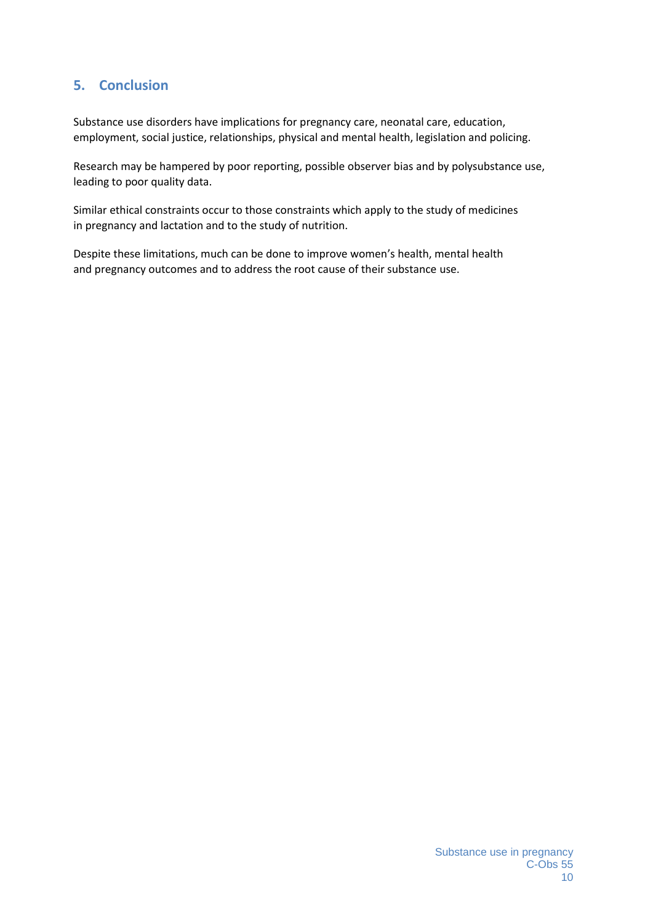## **5. Conclusion**

Substance use disorders have implications for pregnancy care, neonatal care, education, employment, social justice, relationships, physical and mental health, legislation and policing.

Research may be hampered by poor reporting, possible observer bias and by polysubstance use, leading to poor quality data.

Similar ethical constraints occur to those constraints which apply to the study of medicines in pregnancy and lactation and to the study of nutrition.

Despite these limitations, much can be done to improve women's health, mental health and pregnancy outcomes and to address the root cause of their substance use.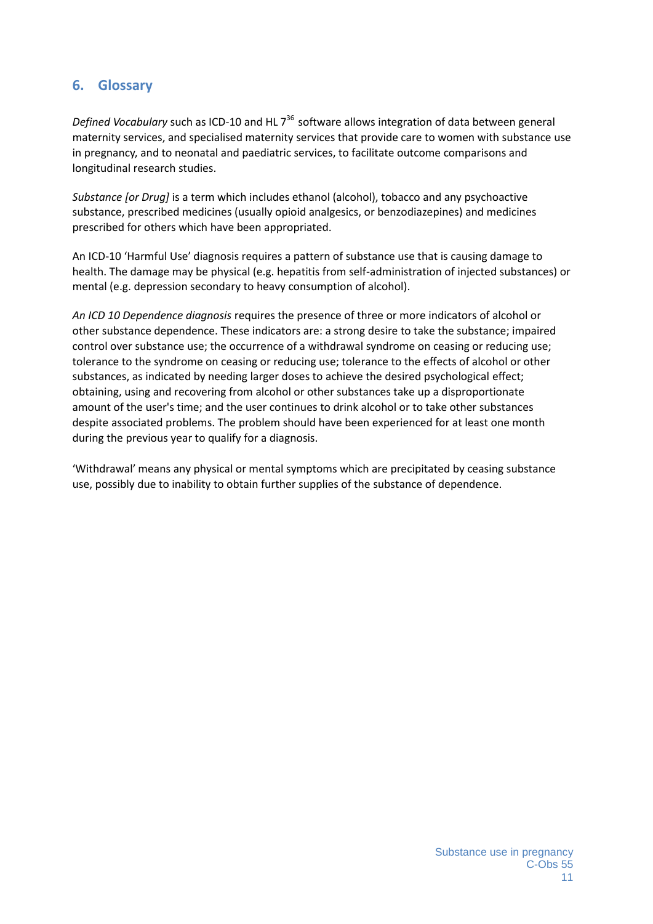## **6. Glossary**

Defined Vocabulary such as ICD-10 and HL 7<sup>36</sup> software allows integration of data between general maternity services, and specialised maternity services that provide care to women with substance use in pregnancy, and to neonatal and paediatric services, to facilitate outcome comparisons and longitudinal research studies.

*Substance [or Drug]* is a term which includes ethanol (alcohol), tobacco and any psychoactive substance, prescribed medicines (usually opioid analgesics, or benzodiazepines) and medicines prescribed for others which have been appropriated.

An ICD-10 'Harmful Use' diagnosis requires a pattern of substance use that is causing damage to health. The damage may be physical (e.g. hepatitis from self-administration of injected substances) or mental (e.g. depression secondary to heavy consumption of alcohol).

*An ICD 10 Dependence diagnosis* requires the presence of three or more indicators of alcohol or other substance dependence. These indicators are: a strong desire to take the substance; impaired control over substance use; the occurrence of a withdrawal syndrome on ceasing or reducing use; tolerance to the syndrome on ceasing or reducing use; tolerance to the effects of alcohol or other substances, as indicated by needing larger doses to achieve the desired psychological effect; obtaining, using and recovering from alcohol or other substances take up a disproportionate amount of the user's time; and the user continues to drink alcohol or to take other substances despite associated problems. The problem should have been experienced for at least one month during the previous year to qualify for a diagnosis.

'Withdrawal' means any physical or mental symptoms which are precipitated by ceasing substance use, possibly due to inability to obtain further supplies of the substance of dependence.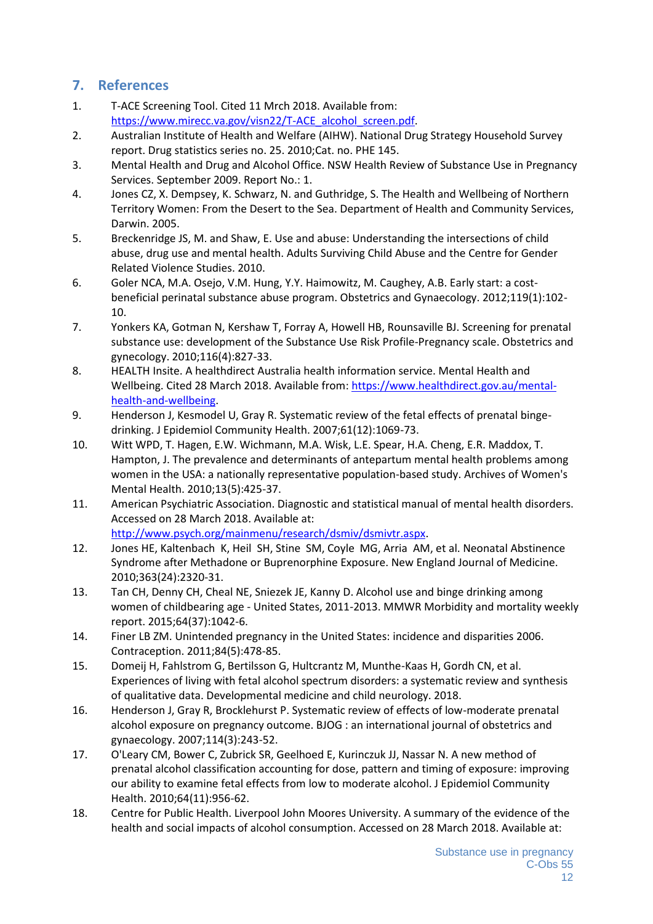## **7. References**

- 1. T-ACE Screening Tool. Cited 11 Mrch 2018. Available from: https://www.mirecc.va.gov/visn22/T-ACE\_alcohol\_screen.pdf.
- 2. Australian Institute of Health and Welfare (AIHW). National Drug Strategy Household Survey report. Drug statistics series no. 25. 2010;Cat. no. PHE 145.
- 3. Mental Health and Drug and Alcohol Office. NSW Health Review of Substance Use in Pregnancy Services. September 2009. Report No.: 1.
- 4. Jones CZ, X. Dempsey, K. Schwarz, N. and Guthridge, S. The Health and Wellbeing of Northern Territory Women: From the Desert to the Sea. Department of Health and Community Services, Darwin. 2005.
- 5. Breckenridge JS, M. and Shaw, E. Use and abuse: Understanding the intersections of child abuse, drug use and mental health. Adults Surviving Child Abuse and the Centre for Gender Related Violence Studies. 2010.
- 6. Goler NCA, M.A. Osejo, V.M. Hung, Y.Y. Haimowitz, M. Caughey, A.B. Early start: a cost beneficial perinatal substance abuse program. Obstetrics and Gynaecology. 2012;119(1):102- 10.
- 7. Yonkers KA, Gotman N, Kershaw T, Forray A, Howell HB, Rounsaville BJ. Screening for prenatal substance use: development of the Substance Use Risk Profile-Pregnancy scale. Obstetrics and gynecology. 2010;116(4):827-33.
- 8. HEALTH Insite. A healthdirect Australia health information service. Mental Health and Wellbeing. Cited 28 March 2018. Available from: https://www.healthdirect.gov.au/mental health-and-wellbeing.
- 9. Henderson J, Kesmodel U, Gray R. Systematic review of the fetal effects of prenatal binge drinking. J Epidemiol Community Health. 2007;61(12):1069-73.
- 10. Witt WPD, T. Hagen, E.W. Wichmann, M.A. Wisk, L.E. Spear, H.A. Cheng, E.R. Maddox, T. Hampton, J. The prevalence and determinants of antepartum mental health problems among women in the USA: a nationally representative population-based study. Archives of Women's Mental Health. 2010;13(5):425-37.
- 11. American Psychiatric Association. Diagnostic and statistical manual of mental health disorders. Accessed on 28 March 2018. Available at: http://www.psych.org/mainmenu/research/dsmiv/dsmivtr.aspx.
- 12. Jones HE, Kaltenbach K, Heil SH, Stine SM, Coyle MG, Arria AM, et al. Neonatal Abstinence Syndrome after Methadone or Buprenorphine Exposure. New England Journal of Medicine. 2010;363(24):2320-31.
- 13. Tan CH, Denny CH, Cheal NE, Sniezek JE, Kanny D. Alcohol use and binge drinking among women of childbearing age - United States, 2011-2013. MMWR Morbidity and mortality weekly report. 2015;64(37):1042-6.
- 14. Finer LB ZM. Unintended pregnancy in the United States: incidence and disparities 2006. Contraception. 2011;84(5):478-85.
- 15. Domeij H, Fahlstrom G, Bertilsson G, Hultcrantz M, Munthe-Kaas H, Gordh CN, et al. Experiences of living with fetal alcohol spectrum disorders: a systematic review and synthesis of qualitative data. Developmental medicine and child neurology. 2018.
- 16. Henderson J, Gray R, Brocklehurst P. Systematic review of effects of low-moderate prenatal alcohol exposure on pregnancy outcome. BJOG : an international journal of obstetrics and gynaecology. 2007;114(3):243-52.
- 17. O'Leary CM, Bower C, Zubrick SR, Geelhoed E, Kurinczuk JJ, Nassar N. A new method of prenatal alcohol classification accounting for dose, pattern and timing of exposure: improving our ability to examine fetal effects from low to moderate alcohol. J Epidemiol Community Health. 2010;64(11):956-62.
- 18. Centre for Public Health. Liverpool John Moores University. A summary of the evidence of the health and social impacts of alcohol consumption. Accessed on 28 March 2018. Available at: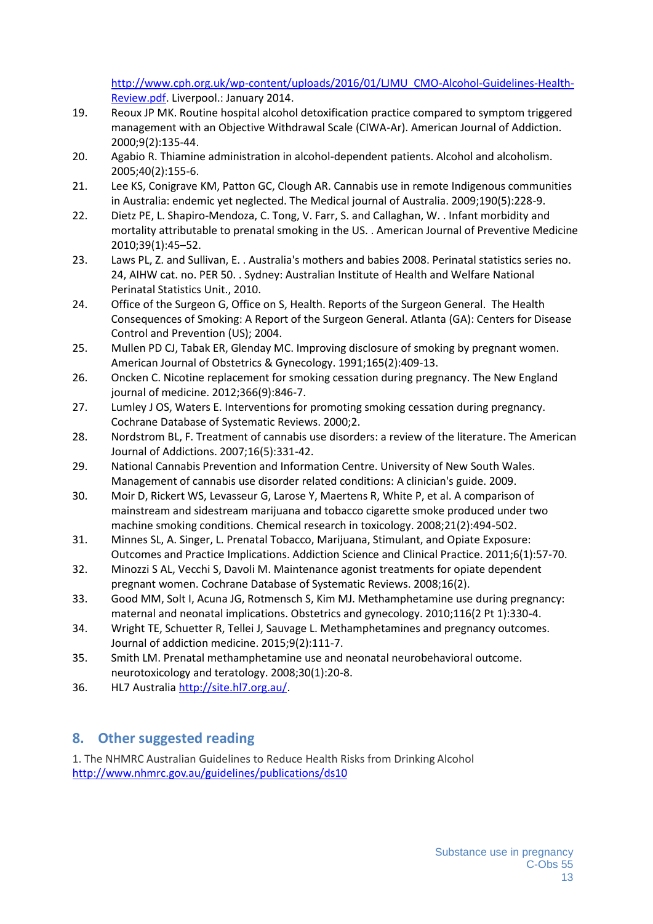http://www.cph.org.uk/wp-content/uploads/2016/01/LJMU\_CMO-Alcohol-Guidelines-Health- Review.pdf. Liverpool.: January 2014.

- 19. Reoux JP MK. Routine hospital alcohol detoxification practice compared to symptom triggered management with an Objective Withdrawal Scale (CIWA-Ar). American Journal of Addiction. 2000;9(2):135-44.
- 20. Agabio R. Thiamine administration in alcohol-dependent patients. Alcohol and alcoholism. 2005;40(2):155-6.
- 21. Lee KS, Conigrave KM, Patton GC, Clough AR. Cannabis use in remote Indigenous communities in Australia: endemic yet neglected. The Medical journal of Australia. 2009;190(5):228-9.
- 22. Dietz PE, L. Shapiro-Mendoza, C. Tong, V. Farr, S. and Callaghan, W. . Infant morbidity and mortality attributable to prenatal smoking in the US. . American Journal of Preventive Medicine 2010;39(1):45–52.
- 23. Laws PL, Z. and Sullivan, E. . Australia's mothers and babies 2008. Perinatal statistics series no. 24, AIHW cat. no. PER 50. . Sydney: Australian Institute of Health and Welfare National Perinatal Statistics Unit., 2010.
- 24. Office of the Surgeon G, Office on S, Health. Reports of the Surgeon General. The Health Consequences of Smoking: A Report of the Surgeon General. Atlanta (GA): Centers for Disease Control and Prevention (US); 2004.
- 25. Mullen PD CJ, Tabak ER, Glenday MC. Improving disclosure of smoking by pregnant women. American Journal of Obstetrics & Gynecology. 1991;165(2):409-13.
- 26. Oncken C. Nicotine replacement for smoking cessation during pregnancy. The New England journal of medicine. 2012;366(9):846-7.
- 27. Lumley J OS, Waters E. Interventions for promoting smoking cessation during pregnancy. Cochrane Database of Systematic Reviews. 2000;2.
- 28. Nordstrom BL, F. Treatment of cannabis use disorders: a review of the literature. The American Journal of Addictions. 2007;16(5):331-42.
- 29. National Cannabis Prevention and Information Centre. University of New South Wales. Management of cannabis use disorder related conditions: A clinician's guide. 2009.
- 30. Moir D, Rickert WS, Levasseur G, Larose Y, Maertens R, White P, et al. A comparison of mainstream and sidestream marijuana and tobacco cigarette smoke produced under two machine smoking conditions. Chemical research in toxicology. 2008;21(2):494-502.
- 31. Minnes SL, A. Singer, L. Prenatal Tobacco, Marijuana, Stimulant, and Opiate Exposure: Outcomes and Practice Implications. Addiction Science and Clinical Practice. 2011;6(1):57-70.
- 32. Minozzi S AL, Vecchi S, Davoli M. Maintenance agonist treatments for opiate dependent pregnant women. Cochrane Database of Systematic Reviews. 2008;16(2).
- 33. Good MM, Solt I, Acuna JG, Rotmensch S, Kim MJ. Methamphetamine use during pregnancy: maternal and neonatal implications. Obstetrics and gynecology. 2010;116(2 Pt 1):330-4.
- 34. Wright TE, Schuetter R, Tellei J, Sauvage L. Methamphetamines and pregnancy outcomes. Journal of addiction medicine. 2015;9(2):111-7.
- 35. Smith LM. Prenatal methamphetamine use and neonatal neurobehavioral outcome. neurotoxicology and teratology. 2008;30(1):20-8.
- 36. HL7 Australia http://site.hl7.org.au/.

## **8. Other suggested reading**

1. The NHMRC Australian Guidelines to Reduce Health Risks from Drinking Alcohol http://www.nhmrc.gov.au/guidelines/publications/ds10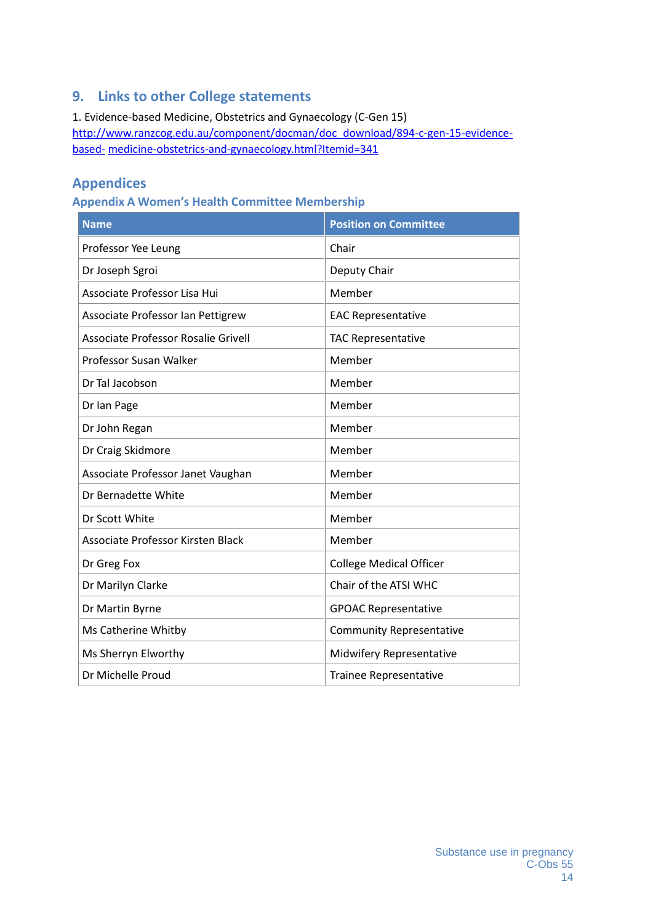## **9. Links to other College statements**

1. Evidence-based Medicine, Obstetrics and Gynaecology (C-Gen 15) http://www.ranzcog.edu.au/component/docman/doc\_download/894-c-gen-15-evidence based- medicine-obstetrics-and-gynaecology.html?Itemid=341

## **Appendices**

### **Appendix A Women's Health Committee Membership**

| <b>Name</b>                         | <b>Position on Committee</b>    |
|-------------------------------------|---------------------------------|
| Professor Yee Leung                 | Chair                           |
| Dr Joseph Sgroi                     | Deputy Chair                    |
| Associate Professor Lisa Hui        | Member                          |
| Associate Professor Ian Pettigrew   | <b>EAC Representative</b>       |
| Associate Professor Rosalie Grivell | <b>TAC Representative</b>       |
| Professor Susan Walker              | Member                          |
| Dr Tal Jacobson                     | Member                          |
| Dr Ian Page                         | Member                          |
| Dr John Regan                       | Member                          |
| Dr Craig Skidmore                   | Member                          |
| Associate Professor Janet Vaughan   | Member                          |
| Dr Bernadette White                 | Member                          |
| Dr Scott White                      | Member                          |
| Associate Professor Kirsten Black   | Member                          |
| Dr Greg Fox                         | <b>College Medical Officer</b>  |
| Dr Marilyn Clarke                   | Chair of the ATSI WHC           |
| Dr Martin Byrne                     | <b>GPOAC Representative</b>     |
| Ms Catherine Whitby                 | <b>Community Representative</b> |
| Ms Sherryn Elworthy                 | Midwifery Representative        |
| Dr Michelle Proud                   | <b>Trainee Representative</b>   |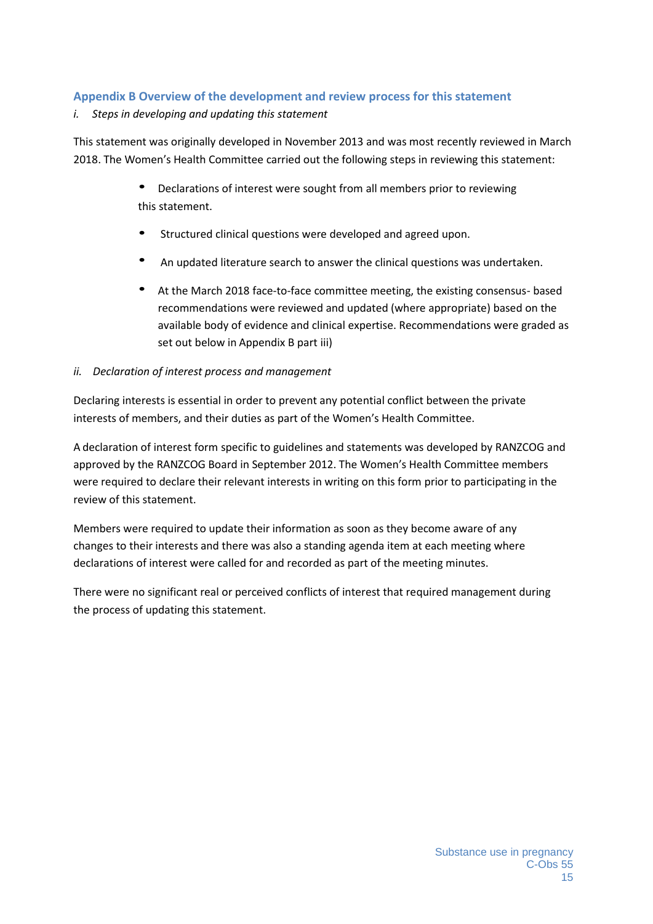#### **Appendix B Overview of the development and review process for this statement**

#### *i. Steps in developing and updating this statement*

This statement was originally developed in November 2013 and was most recently reviewed in March 2018. The Women's Health Committee carried out the following steps in reviewing this statement:

- Declarations of interest were sought from all members prior to reviewing this statement.
- Structured clinical questions were developed and agreed upon.
- An updated literature search to answer the clinical questions was undertaken.
- At the March 2018 face-to-face committee meeting, the existing consensus- based recommendations were reviewed and updated (where appropriate) based on the available body of evidence and clinical expertise. Recommendations were graded as set out below in Appendix B part iii)

#### *ii. Declaration of interest process and management*

Declaring interests is essential in order to prevent any potential conflict between the private interests of members, and their duties as part of the Women's Health Committee.

A declaration of interest form specific to guidelines and statements was developed by RANZCOG and approved by the RANZCOG Board in September 2012. The Women's Health Committee members were required to declare their relevant interests in writing on this form prior to participating in the review of this statement.

Members were required to update their information as soon as they become aware of any changes to their interests and there was also a standing agenda item at each meeting where declarations of interest were called for and recorded as part of the meeting minutes.

There were no significant real or perceived conflicts of interest that required management during the process of updating this statement.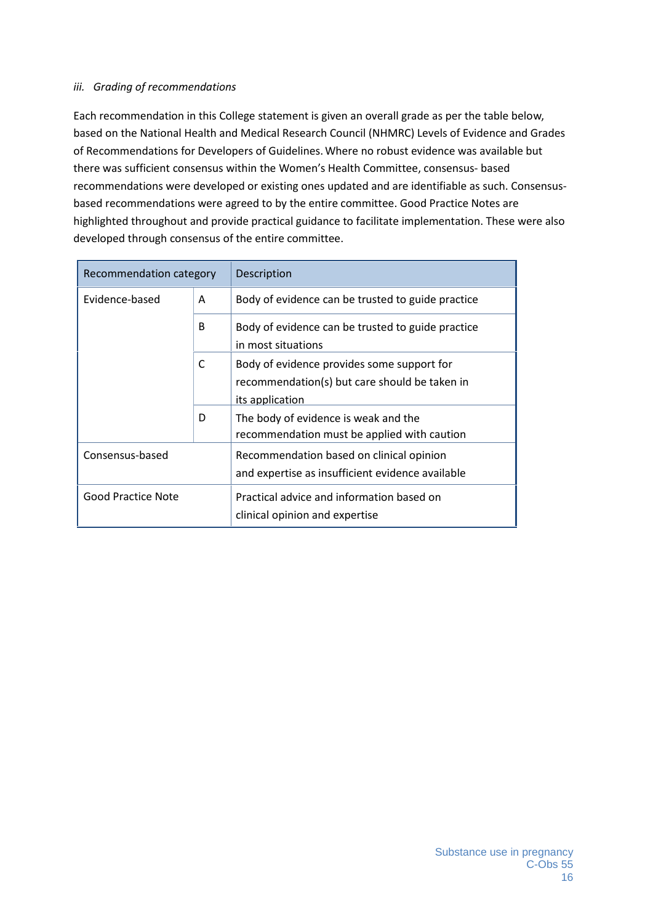#### *iii. Grading of recommendations*

Each recommendation in this College statement is given an overall grade as per the table below, based on the National Health and Medical Research Council (NHMRC) Levels of Evidence and Grades of Recommendations for Developers of Guidelines.Where no robust evidence was available but there was sufficient consensus within the Women's Health Committee, consensus- based recommendations were developed or existing ones updated and are identifiable as such. Consensus based recommendations were agreed to by the entire committee. Good Practice Notes are highlighted throughout and provide practical guidance to facilitate implementation. These were also developed through consensus of the entire committee.

| Recommendation category |   | Description                                                                                                    |
|-------------------------|---|----------------------------------------------------------------------------------------------------------------|
| Evidence-based          | A | Body of evidence can be trusted to guide practice                                                              |
|                         | B | Body of evidence can be trusted to guide practice<br>in most situations                                        |
|                         | С | Body of evidence provides some support for<br>recommendation(s) but care should be taken in<br>its application |
|                         | D | The body of evidence is weak and the<br>recommendation must be applied with caution                            |
| Consensus-based         |   | Recommendation based on clinical opinion<br>and expertise as insufficient evidence available                   |
| Good Practice Note      |   | Practical advice and information based on<br>clinical opinion and expertise                                    |